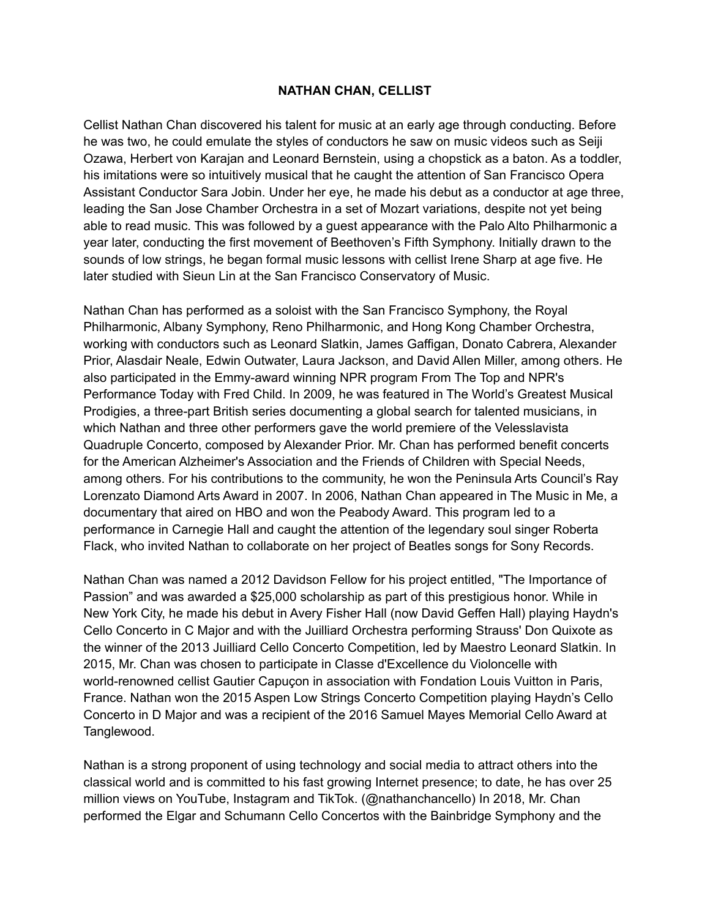## **NATHAN CHAN, CELLIST**

Cellist Nathan Chan discovered his talent for music at an early age through conducting. Before he was two, he could emulate the styles of conductors he saw on music videos such as Seiji Ozawa, Herbert von Karajan and Leonard Bernstein, using a chopstick as a baton. As a toddler, his imitations were so intuitively musical that he caught the attention of San Francisco Opera Assistant Conductor Sara Jobin. Under her eye, he made his debut as a conductor at age three, leading the San Jose Chamber Orchestra in a set of Mozart variations, despite not yet being able to read music. This was followed by a guest appearance with the Palo Alto Philharmonic a year later, conducting the first movement of Beethoven's Fifth Symphony. Initially drawn to the sounds of low strings, he began formal music lessons with cellist Irene Sharp at age five. He later studied with Sieun Lin at the San Francisco Conservatory of Music.

Nathan Chan has performed as a soloist with the San Francisco Symphony, the Royal Philharmonic, Albany Symphony, Reno Philharmonic, and Hong Kong Chamber Orchestra, working with conductors such as Leonard Slatkin, James Gaffigan, Donato Cabrera, Alexander Prior, Alasdair Neale, Edwin Outwater, Laura Jackson, and David Allen Miller, among others. He also participated in the Emmy-award winning NPR program From The Top and NPR's Performance Today with Fred Child. In 2009, he was featured in The World's Greatest Musical Prodigies, a three-part British series documenting a global search for talented musicians, in which Nathan and three other performers gave the world premiere of the Velesslavista Quadruple Concerto, composed by Alexander Prior. Mr. Chan has performed benefit concerts for the American Alzheimer's Association and the Friends of Children with Special Needs, among others. For his contributions to the community, he won the Peninsula Arts Council's Ray Lorenzato Diamond Arts Award in 2007. In 2006, Nathan Chan appeared in The Music in Me, a documentary that aired on HBO and won the Peabody Award. This program led to a performance in Carnegie Hall and caught the attention of the legendary soul singer Roberta Flack, who invited Nathan to collaborate on her project of Beatles songs for Sony Records.

Nathan Chan was named a 2012 Davidson Fellow for his project entitled, "The Importance of Passion" and was awarded a \$25,000 scholarship as part of this prestigious honor. While in New York City, he made his debut in Avery Fisher Hall (now David Geffen Hall) playing Haydn's Cello Concerto in C Major and with the Juilliard Orchestra performing Strauss' Don Quixote as the winner of the 2013 Juilliard Cello Concerto Competition, led by Maestro Leonard Slatkin. In 2015, Mr. Chan was chosen to participate in Classe d'Excellence du Violoncelle with world-renowned cellist Gautier Capuçon in association with Fondation Louis Vuitton in Paris, France. Nathan won the 2015 Aspen Low Strings Concerto Competition playing Haydn's Cello Concerto in D Major and was a recipient of the 2016 Samuel Mayes Memorial Cello Award at Tanglewood.

Nathan is a strong proponent of using technology and social media to attract others into the classical world and is committed to his fast growing Internet presence; to date, he has over 25 million views on YouTube, Instagram and TikTok. (@nathanchancello) In 2018, Mr. Chan performed the Elgar and Schumann Cello Concertos with the Bainbridge Symphony and the